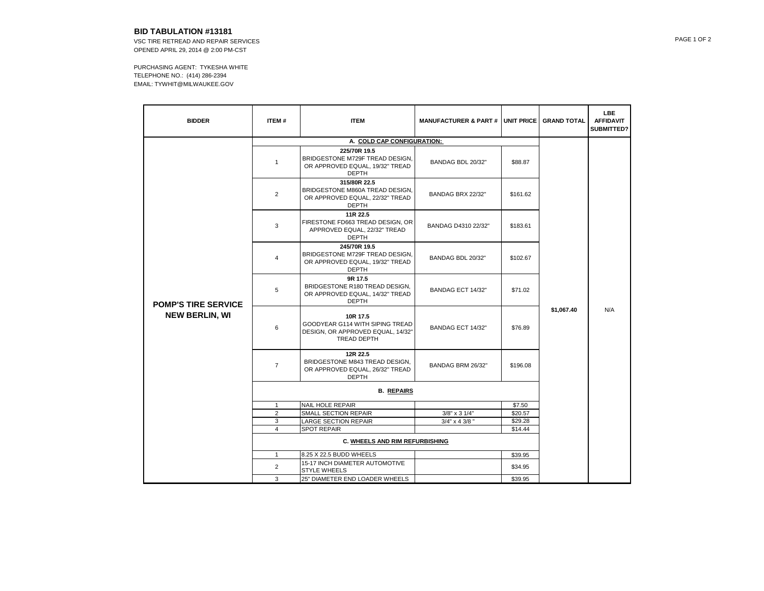## **BID TABULATION #13181**

VSC TIRE RETREAD AND REPAIR SERVICES OPENED APRIL 29, 2014 @ 2:00 PM-CST

PURCHASING AGENT: TYKESHA WHITE TELEPHONE NO.: (414) 286-2394 EMAIL: TYWHIT@MILWAUKEE.GOV

| <b>BIDDER</b>                                       | ITEM#          | <b>ITEM</b>                                                                                            | <b>MANUFACTURER &amp; PART # I UNIT PRICE</b> |          | <b>GRAND TOTAL</b> | <b>LBE</b><br><b>AFFIDAVIT</b><br><b>SUBMITTED?</b> |
|-----------------------------------------------------|----------------|--------------------------------------------------------------------------------------------------------|-----------------------------------------------|----------|--------------------|-----------------------------------------------------|
|                                                     |                |                                                                                                        |                                               |          |                    |                                                     |
| <b>POMP'S TIRE SERVICE</b><br><b>NEW BERLIN, WI</b> | $\mathbf{1}$   | 225/70R 19.5<br>BRIDGESTONE M729F TREAD DESIGN,<br>OR APPROVED EQUAL, 19/32" TREAD<br><b>DEPTH</b>     | BANDAG BDL 20/32"                             | \$88.87  | \$1,067.40         | N/A                                                 |
|                                                     | 2              | 315/80R 22.5<br>BRIDGESTONE M860A TREAD DESIGN,<br>OR APPROVED EQUAL, 22/32" TREAD<br><b>DEPTH</b>     | BANDAG BRX 22/32"                             | \$161.62 |                    |                                                     |
|                                                     | 3              | 11R 22.5<br>FIRESTONE FD663 TREAD DESIGN, OR<br>APPROVED EQUAL, 22/32" TREAD<br><b>DEPTH</b>           | BANDAG D4310 22/32"                           | \$183.61 |                    |                                                     |
|                                                     | $\overline{4}$ | 245/70R 19.5<br>BRIDGESTONE M729F TREAD DESIGN,<br>OR APPROVED EQUAL, 19/32" TREAD<br><b>DEPTH</b>     | BANDAG BDL 20/32"                             | \$102.67 |                    |                                                     |
|                                                     | 5              | 9R 17.5<br>BRIDGESTONE R180 TREAD DESIGN,<br>OR APPROVED EQUAL, 14/32" TREAD<br><b>DEPTH</b>           | BANDAG ECT 14/32"                             | \$71.02  |                    |                                                     |
|                                                     | 6              | 10R 17.5<br>GOODYEAR G114 WITH SIPING TREAD<br>DESIGN, OR APPROVED EQUAL, 14/32"<br><b>TREAD DEPTH</b> | BANDAG ECT 14/32"                             | \$76.89  |                    |                                                     |
|                                                     | $\overline{7}$ | 12R 22.5<br>BRIDGESTONE M843 TREAD DESIGN,<br>OR APPROVED EQUAL, 26/32" TREAD<br><b>DEPTH</b>          | BANDAG BRM 26/32"                             | \$196.08 |                    |                                                     |
|                                                     |                |                                                                                                        |                                               |          |                    |                                                     |
|                                                     | 1              | <b>NAIL HOLE REPAIR</b>                                                                                |                                               | \$7.50   |                    |                                                     |
|                                                     | $\overline{2}$ | SMALL SECTION REPAIR                                                                                   | 3/8" x 3 1/4"                                 | \$20.57  |                    |                                                     |
|                                                     | 3              | <b>LARGE SECTION REPAIR</b>                                                                            | 3/4" x 4 3/8"                                 | \$29.28  |                    |                                                     |
|                                                     | $\overline{4}$ | <b>SPOT REPAIR</b>                                                                                     |                                               | \$14.44  |                    |                                                     |
|                                                     |                |                                                                                                        |                                               |          |                    |                                                     |
|                                                     | 1              | 8.25 X 22.5 BUDD WHEELS                                                                                |                                               | \$39.95  |                    |                                                     |
|                                                     | 2              | 15-17 INCH DIAMETER AUTOMOTIVE<br><b>STYLE WHEELS</b>                                                  |                                               | \$34.95  |                    |                                                     |
|                                                     | 3              | 25" DIAMETER END LOADER WHEELS                                                                         |                                               | \$39.95  |                    |                                                     |